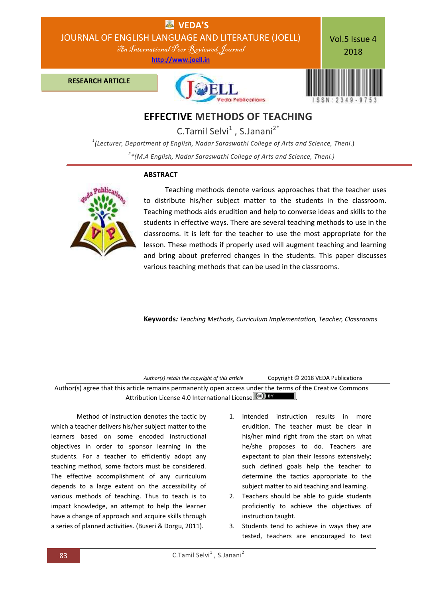

C.Tamil Selvi<sup>1</sup>, S.Janani<sup>2\*</sup>

*1 (Lecturer, Department of English, Nadar Saraswathi College of Arts and Science, Theni*.) *2 \*(M.A English, Nadar Saraswathi College of Arts and Science, Theni.)*

# **ABSTRACT**



 Teaching methods denote various approaches that the teacher uses to distribute his/her subject matter to the students in the classroom. Teaching methods aids erudition and help to converse ideas and skills to the students in effective ways. There are several teaching methods to use in the classrooms. It is left for the teacher to use the most appropriate for the lesson. These methods if properly used will augment teaching and learning and bring about preferred changes in the students. This paper discusses various teaching methods that can be used in the classrooms.

**Keywords***: Teaching Methods, Curriculum Implementation, Teacher, Classrooms*

| Author(s) retain the copyright of this article                                                            | Copyright © 2018 VEDA Publications |
|-----------------------------------------------------------------------------------------------------------|------------------------------------|
| Author(s) agree that this article remains permanently open access under the terms of the Creative Commons |                                    |
| Attribution License 4.0 International License (cc) BY                                                     |                                    |

Method of instruction denotes the tactic by which a teacher delivers his/her subject matter to the learners based on some encoded instructional objectives in order to sponsor learning in the students. For a teacher to efficiently adopt any teaching method, some factors must be considered. The effective accomplishment of any curriculum depends to a large extent on the accessibility of various methods of teaching. Thus to teach is to impact knowledge, an attempt to help the learner have a change of approach and acquire skills through a series of planned activities. (Buseri & Dorgu, 2011).

- 1. Intended instruction results in more erudition. The teacher must be clear in his/her mind right from the start on what he/she proposes to do. Teachers are expectant to plan their lessons extensively; such defined goals help the teacher to determine the tactics appropriate to the subject matter to aid teaching and learning.
- 2. Teachers should be able to guide students proficiently to achieve the objectives of instruction taught.
- 3. Students tend to achieve in ways they are tested, teachers are encouraged to test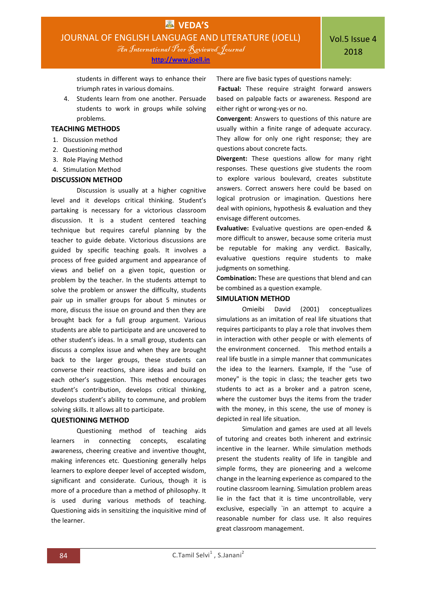**[http://www.joell.in](http://www.joell.in/)**

students in different ways to enhance their triumph rates in various domains.

4. Students learn from one another. Persuade students to work in groups while solving problems.

## **TEACHING METHODS**

- 1. Discussion method
- 2. Questioning method
- 3. Role Playing Method
- 4. Stimulation Method

### **DISCUSSION METHOD**

Discussion is usually at a higher cognitive level and it develops critical thinking. Student's partaking is necessary for a victorious classroom discussion. It is a student centered teaching technique but requires careful planning by the teacher to guide debate. Victorious discussions are guided by specific teaching goals. It involves a process of free guided argument and appearance of views and belief on a given topic, question or problem by the teacher. In the students attempt to solve the problem or answer the difficulty, students pair up in smaller groups for about 5 minutes or more, discuss the issue on ground and then they are brought back for a full group argument. Various students are able to participate and are uncovered to other student's ideas. In a small group, students can discuss a complex issue and when they are brought back to the larger groups, these students can converse their reactions, share ideas and build on each other's suggestion. This method encourages student's contribution, develops critical thinking, develops student's ability to commune, and problem solving skills. It allows all to participate.

#### **QUESTIONING METHOD**

Questioning method of teaching aids learners in connecting concepts, escalating awareness, cheering creative and inventive thought, making inferences etc. Questioning generally helps learners to explore deeper level of accepted wisdom, significant and considerate. Curious, though it is more of a procedure than a method of philosophy. It is used during various methods of teaching. Questioning aids in sensitizing the inquisitive mind of the learner.

There are five basic types of questions namely:

**Factual:** These require straight forward answers based on palpable facts or awareness. Respond are either right or wrong-yes or no.

**Convergent**: Answers to questions of this nature are usually within a finite range of adequate accuracy. They allow for only one right response; they are questions about concrete facts.

**Divergent:** These questions allow for many right responses. These questions give students the room to explore various boulevard, creates substitute answers. Correct answers here could be based on logical protrusion or imagination. Questions here deal with opinions, hypothesis & evaluation and they envisage different outcomes.

**Evaluative:** Evaluative questions are open-ended & more difficult to answer, because some criteria must be reputable for making any verdict. Basically, evaluative questions require students to make judgments on something.

**Combination:** These are questions that blend and can be combined as a question example.

### **SIMULATION METHOD**

Omieibi David (2001) conceptualizes simulations as an imitation of real life situations that requires participants to play a role that involves them in interaction with other people or with elements of the environment concerned. This method entails a real life bustle in a simple manner that communicates the idea to the learners. Example, If the "use of money" is the topic in class; the teacher gets two students to act as a broker and a patron scene, where the customer buys the items from the trader with the money, in this scene, the use of money is depicted in real life situation.

Simulation and games are used at all levels of tutoring and creates both inherent and extrinsic incentive in the learner. While simulation methods present the students reality of life in tangible and simple forms, they are pioneering and a welcome change in the learning experience as compared to the routine classroom learning. Simulation problem areas lie in the fact that it is time uncontrollable, very exclusive, especially `in an attempt to acquire a reasonable number for class use. It also requires great classroom management.